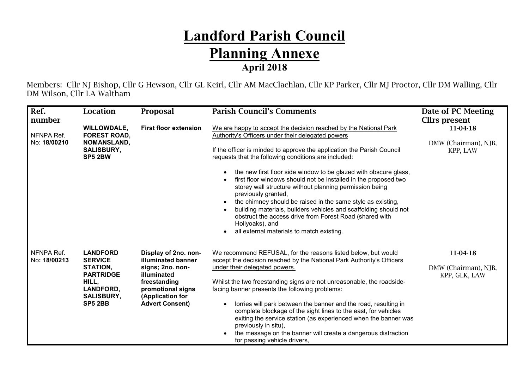## **Landford Parish Council Planning Annexe April 2018**

Members: Cllr NJ Bishop, Cllr G Hewson, Cllr GL Keirl, Cllr AM MacClachlan, Cllr KP Parker, Cllr MJ Proctor, Cllr DM Walling, Cllr DM Wilson, Cllr LA Waltham

| Ref.                       | Location                                                                   | <b>Proposal</b>                                                                               | <b>Parish Council's Comments</b>                                                                                                                                                                                                                                                                                                                                                | Date of PC Meeting                                |
|----------------------------|----------------------------------------------------------------------------|-----------------------------------------------------------------------------------------------|---------------------------------------------------------------------------------------------------------------------------------------------------------------------------------------------------------------------------------------------------------------------------------------------------------------------------------------------------------------------------------|---------------------------------------------------|
| number                     |                                                                            |                                                                                               |                                                                                                                                                                                                                                                                                                                                                                                 | <b>Cllrs</b> present                              |
| NFNPA Ref.<br>No: 18/00210 | <b>WILLOWDALE,</b><br><b>FOREST ROAD,</b><br><b>NOMANSLAND,</b>            | <b>First floor extension</b>                                                                  | We are happy to accept the decision reached by the National Park<br>Authority's Officers under their delegated powers                                                                                                                                                                                                                                                           | 11-04-18<br>DMW (Chairman), NJB,                  |
|                            | <b>SALISBURY,</b><br><b>SP5 2BW</b>                                        |                                                                                               | If the officer is minded to approve the application the Parish Council<br>requests that the following conditions are included:                                                                                                                                                                                                                                                  | KPP, LAW                                          |
|                            |                                                                            |                                                                                               | the new first floor side window to be glazed with obscure glass,<br>first floor windows should not be installed in the proposed two<br>storey wall structure without planning permission being<br>previously granted,                                                                                                                                                           |                                                   |
|                            |                                                                            |                                                                                               | the chimney should be raised in the same style as existing,<br>building materials, builders vehicles and scaffolding should not<br>obstruct the access drive from Forest Road (shared with<br>Hollyoaks), and<br>all external materials to match existing.                                                                                                                      |                                                   |
| NFNPA Ref.<br>No: 18/00213 | <b>LANDFORD</b><br><b>SERVICE</b><br>STATION,<br><b>PARTRIDGE</b><br>HILL, | Display of 2no. non-<br>illuminated banner<br>signs; 2no. non-<br>illuminated<br>freestanding | We recommend REFUSAL, for the reasons listed below, but would<br>accept the decision reached by the National Park Authority's Officers<br>under their delegated powers.<br>Whilst the two freestanding signs are not unreasonable, the roadside-                                                                                                                                | 11-04-18<br>DMW (Chairman), NJB,<br>KPP, GLK, LAW |
|                            | LANDFORD,<br><b>SALISBURY,</b><br><b>SP5 2BB</b>                           | promotional signs<br>(Application for<br><b>Advert Consent)</b>                               | facing banner presents the following problems:<br>lorries will park between the banner and the road, resulting in<br>complete blockage of the sight lines to the east, for vehicles<br>exiting the service station (as experienced when the banner was<br>previously in situ),<br>the message on the banner will create a dangerous distraction<br>for passing vehicle drivers, |                                                   |